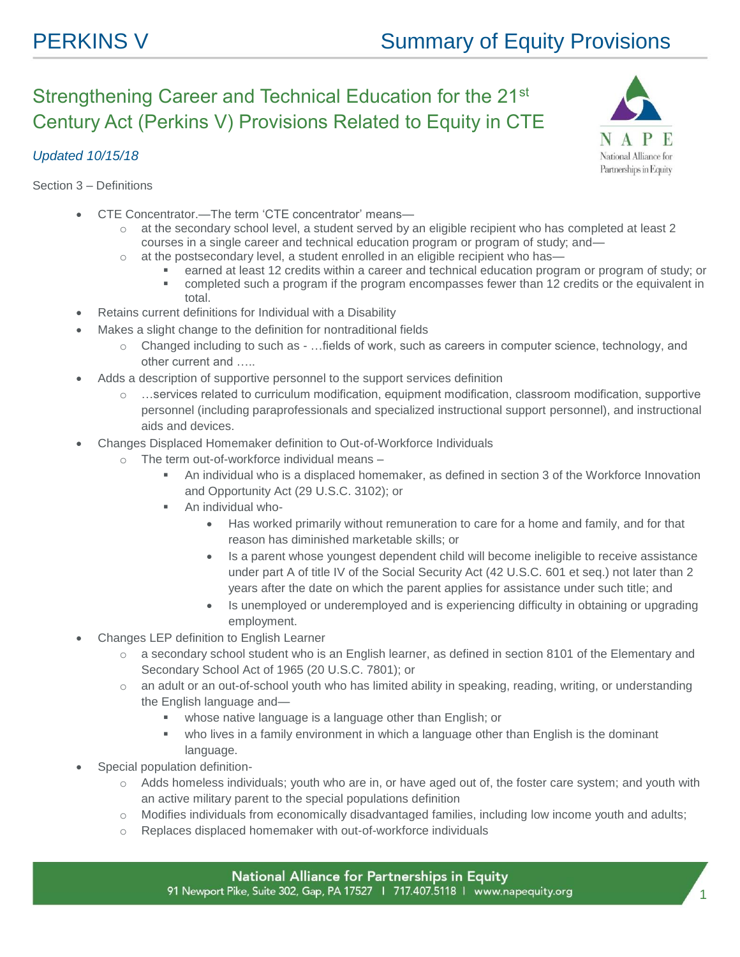National Alliance for Partnerships in Equity

## Strengthening Career and Technical Education for the 21st Century Act (Perkins V) Provisions Related to Equity in CTE



Section 3 – Definitions

- CTE Concentrator.—The term 'CTE concentrator' means
	- o at the secondary school level, a student served by an eligible recipient who has completed at least 2 courses in a single career and technical education program or program of study; and—
	- o at the postsecondary level, a student enrolled in an eligible recipient who has
		- earned at least 12 credits within a career and technical education program or program of study; or
			- completed such a program if the program encompasses fewer than 12 credits or the equivalent in total.
- Retains current definitions for Individual with a Disability
- Makes a slight change to the definition for nontraditional fields
	- o Changed including to such as …fields of work, such as careers in computer science, technology, and other current and …..
- Adds a description of supportive personnel to the support services definition
	- o …services related to curriculum modification, equipment modification, classroom modification, supportive personnel (including paraprofessionals and specialized instructional support personnel), and instructional aids and devices.
- Changes Displaced Homemaker definition to Out-of-Workforce Individuals
	- o The term out-of-workforce individual means
		- An individual who is a displaced homemaker, as defined in section 3 of the Workforce Innovation and Opportunity Act (29 U.S.C. 3102); or
		- An individual who-
			- Has worked primarily without remuneration to care for a home and family, and for that reason has diminished marketable skills; or
			- Is a parent whose youngest dependent child will become ineligible to receive assistance under part A of title IV of the Social Security Act (42 U.S.C. 601 et seq.) not later than 2 years after the date on which the parent applies for assistance under such title; and
			- Is unemployed or underemployed and is experiencing difficulty in obtaining or upgrading employment.
- Changes LEP definition to English Learner
	- $\circ$  a secondary school student who is an English learner, as defined in section 8101 of the Elementary and Secondary School Act of 1965 (20 U.S.C. 7801); or
	- o an adult or an out-of-school youth who has limited ability in speaking, reading, writing, or understanding the English language and
		- whose native language is a language other than English; or
		- who lives in a family environment in which a language other than English is the dominant language.
- Special population definition
	- o Adds homeless individuals; youth who are in, or have aged out of, the foster care system; and youth with an active military parent to the special populations definition
	- o Modifies individuals from economically disadvantaged families, including low income youth and adults;
	- o Replaces displaced homemaker with out-of-workforce individuals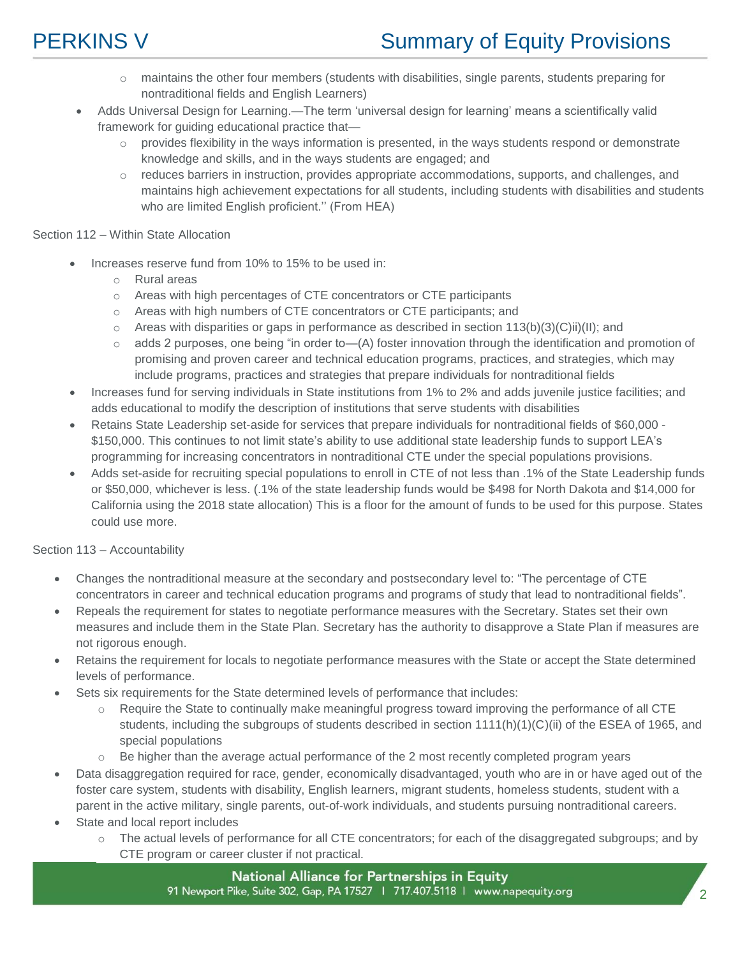- o maintains the other four members (students with disabilities, single parents, students preparing for nontraditional fields and English Learners)
- Adds Universal Design for Learning.—The term 'universal design for learning' means a scientifically valid framework for guiding educational practice that—
	- $\circ$  provides flexibility in the ways information is presented, in the ways students respond or demonstrate knowledge and skills, and in the ways students are engaged; and
	- $\circ$  reduces barriers in instruction, provides appropriate accommodations, supports, and challenges, and maintains high achievement expectations for all students, including students with disabilities and students who are limited English proficient." (From HEA)

### Section 112 – Within State Allocation

- Increases reserve fund from 10% to 15% to be used in:
	- o Rural areas
	- o Areas with high percentages of CTE concentrators or CTE participants
	- o Areas with high numbers of CTE concentrators or CTE participants; and
	- $\circ$  Areas with disparities or gaps in performance as described in section 113(b)(3)(C)ii)(II); and
	- $\circ$  adds 2 purposes, one being "in order to—(A) foster innovation through the identification and promotion of promising and proven career and technical education programs, practices, and strategies, which may include programs, practices and strategies that prepare individuals for nontraditional fields
- Increases fund for serving individuals in State institutions from 1% to 2% and adds juvenile justice facilities; and adds educational to modify the description of institutions that serve students with disabilities
- Retains State Leadership set-aside for services that prepare individuals for nontraditional fields of \$60,000 \$150,000. This continues to not limit state's ability to use additional state leadership funds to support LEA's programming for increasing concentrators in nontraditional CTE under the special populations provisions.
- Adds set-aside for recruiting special populations to enroll in CTE of not less than .1% of the State Leadership funds or \$50,000, whichever is less. (.1% of the state leadership funds would be \$498 for North Dakota and \$14,000 for California using the 2018 state allocation) This is a floor for the amount of funds to be used for this purpose. States could use more.

### Section 113 – Accountability

- Changes the nontraditional measure at the secondary and postsecondary level to: "The percentage of CTE concentrators in career and technical education programs and programs of study that lead to nontraditional fields".
- Repeals the requirement for states to negotiate performance measures with the Secretary. States set their own measures and include them in the State Plan. Secretary has the authority to disapprove a State Plan if measures are not rigorous enough.
- Retains the requirement for locals to negotiate performance measures with the State or accept the State determined levels of performance.
- Sets six requirements for the State determined levels of performance that includes:
	- o Require the State to continually make meaningful progress toward improving the performance of all CTE students, including the subgroups of students described in section 1111(h)(1)(C)(ii) of the ESEA of 1965, and special populations
	- $\circ$  Be higher than the average actual performance of the 2 most recently completed program years
- Data disaggregation required for race, gender, economically disadvantaged, youth who are in or have aged out of the foster care system, students with disability, English learners, migrant students, homeless students, student with a parent in the active military, single parents, out-of-work individuals, and students pursuing nontraditional careers.
- State and local report includes
	- o The actual levels of performance for all CTE concentrators; for each of the disaggregated subgroups; and by CTE program or career cluster if not practical.

National Alliance for Partnerships in Equity 91 Newport Pike, Suite 302, Gap, PA 17527 | 717.407.5118 | www.napequity.org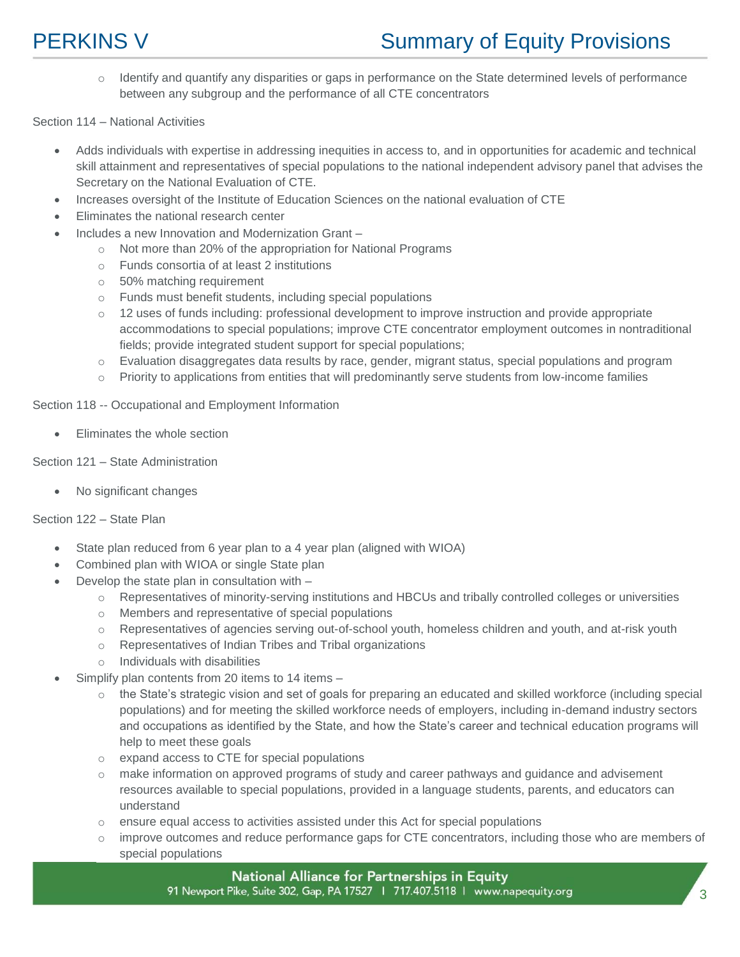o Identify and quantify any disparities or gaps in performance on the State determined levels of performance between any subgroup and the performance of all CTE concentrators

Section 114 – National Activities

- Adds individuals with expertise in addressing inequities in access to, and in opportunities for academic and technical skill attainment and representatives of special populations to the national independent advisory panel that advises the Secretary on the National Evaluation of CTE.
- Increases oversight of the Institute of Education Sciences on the national evaluation of CTE
- Eliminates the national research center
- Includes a new Innovation and Modernization Grant
	- o Not more than 20% of the appropriation for National Programs
	- o Funds consortia of at least 2 institutions
	- o 50% matching requirement
	- o Funds must benefit students, including special populations
	- o 12 uses of funds including: professional development to improve instruction and provide appropriate accommodations to special populations; improve CTE concentrator employment outcomes in nontraditional fields; provide integrated student support for special populations;
	- o Evaluation disaggregates data results by race, gender, migrant status, special populations and program
	- $\circ$  Priority to applications from entities that will predominantly serve students from low-income families

Section 118 -- Occupational and Employment Information

Eliminates the whole section

### Section 121 – State Administration

No significant changes

### Section 122 – State Plan

- State plan reduced from 6 year plan to a 4 year plan (aligned with WIOA)
- Combined plan with WIOA or single State plan
- Develop the state plan in consultation with
	- o Representatives of minority-serving institutions and HBCUs and tribally controlled colleges or universities
	- o Members and representative of special populations
	- o Representatives of agencies serving out-of-school youth, homeless children and youth, and at-risk youth
	- o Representatives of Indian Tribes and Tribal organizations
	- o Individuals with disabilities
- Simplify plan contents from 20 items to 14 items
	- o the State's strategic vision and set of goals for preparing an educated and skilled workforce (including special populations) and for meeting the skilled workforce needs of employers, including in-demand industry sectors and occupations as identified by the State, and how the State's career and technical education programs will help to meet these goals
	- expand access to CTE for special populations
	- make information on approved programs of study and career pathways and guidance and advisement resources available to special populations, provided in a language students, parents, and educators can understand
	- ensure equal access to activities assisted under this Act for special populations
	- improve outcomes and reduce performance gaps for CTE concentrators, including those who are members of special populations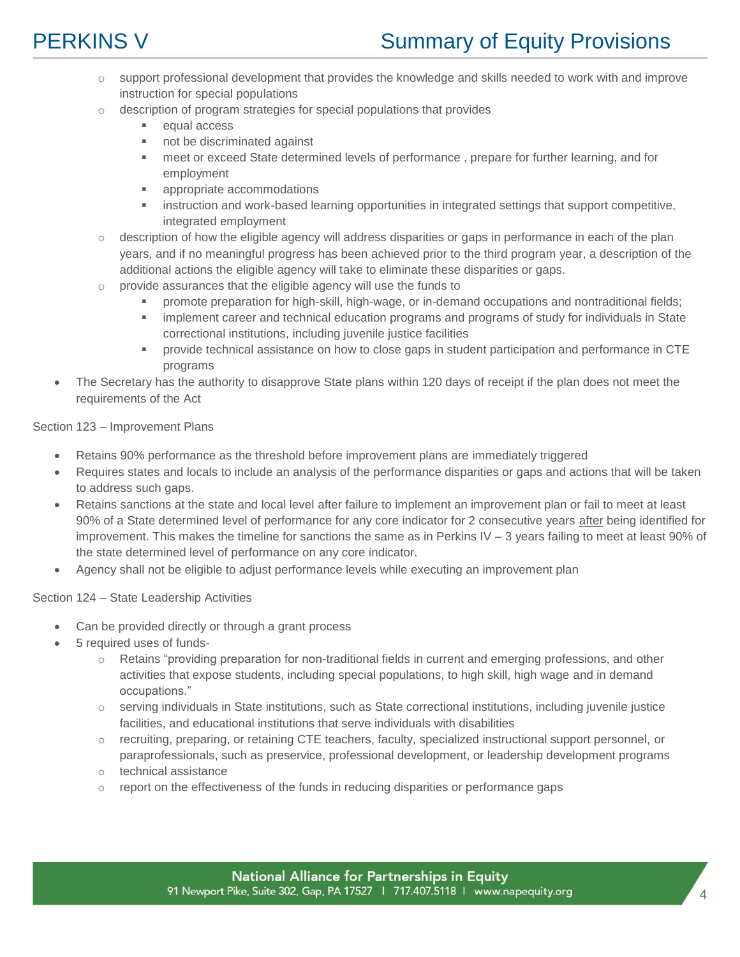- o support professional development that provides the knowledge and skills needed to work with and improve instruction for special populations
- o description of program strategies for special populations that provides
	- equal access
	- not be discriminated against
	- meet or exceed State determined levels of performance , prepare for further learning, and for employment
	- **appropriate accommodations**
	- **EXEDENT INTERT INTERT INTERTATION IN THE INTERTATION INTERTATION** instruction and work-based learning opportunities in integrated settings that support competitive, integrated employment
- o description of how the eligible agency will address disparities or gaps in performance in each of the plan years, and if no meaningful progress has been achieved prior to the third program year, a description of the additional actions the eligible agency will take to eliminate these disparities or gaps.
- $\circ$  provide assurances that the eligible agency will use the funds to
	- promote preparation for high-skill, high-wage, or in-demand occupations and nontraditional fields;
	- **implement career and technical education programs and programs of study for individuals in State** correctional institutions, including juvenile justice facilities
	- provide technical assistance on how to close gaps in student participation and performance in CTE programs
- The Secretary has the authority to disapprove State plans within 120 days of receipt if the plan does not meet the requirements of the Act

### Section 123 – Improvement Plans

- Retains 90% performance as the threshold before improvement plans are immediately triggered
- Requires states and locals to include an analysis of the performance disparities or gaps and actions that will be taken to address such gaps.
- Retains sanctions at the state and local level after failure to implement an improvement plan or fail to meet at least 90% of a State determined level of performance for any core indicator for 2 consecutive years after being identified for improvement. This makes the timeline for sanctions the same as in Perkins IV – 3 years failing to meet at least 90% of the state determined level of performance on any core indicator.
- Agency shall not be eligible to adjust performance levels while executing an improvement plan

### Section 124 – State Leadership Activities

- Can be provided directly or through a grant process
- 5 required uses of funds
	- o Retains "providing preparation for non-traditional fields in current and emerging professions, and other activities that expose students, including special populations, to high skill, high wage and in demand occupations."
	- $\circ$  serving individuals in State institutions, such as State correctional institutions, including juvenile justice facilities, and educational institutions that serve individuals with disabilities
	- o recruiting, preparing, or retaining CTE teachers, faculty, specialized instructional support personnel, or paraprofessionals, such as preservice, professional development, or leadership development programs
	- o technical assistance
	- report on the effectiveness of the funds in reducing disparities or performance gaps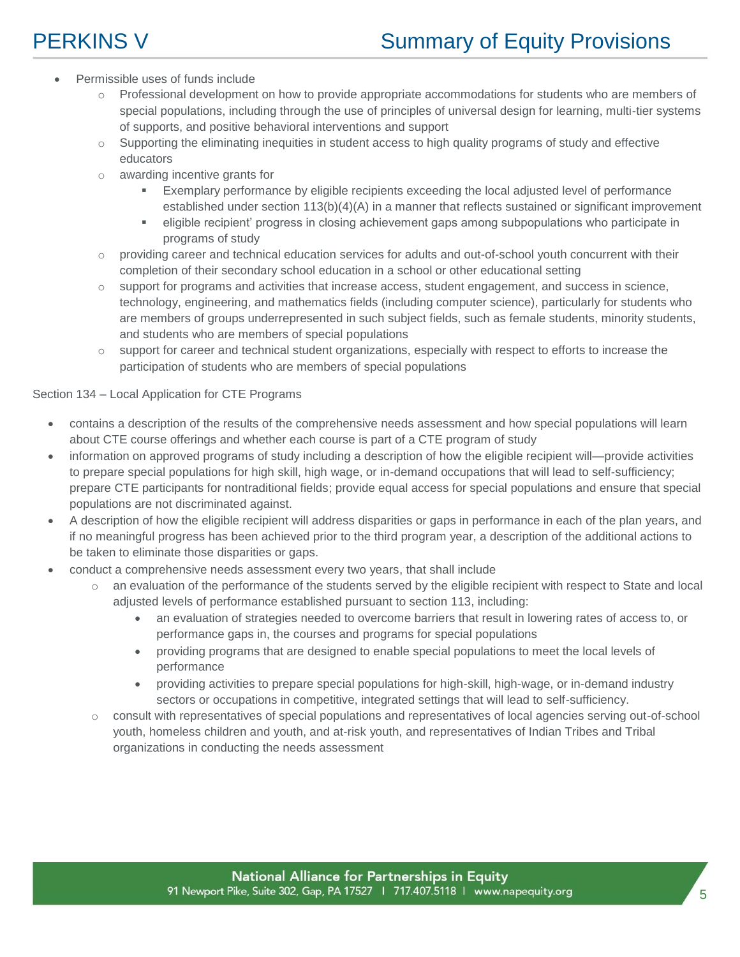- Permissible uses of funds include
	- $\circ$  Professional development on how to provide appropriate accommodations for students who are members of special populations, including through the use of principles of universal design for learning, multi-tier systems of supports, and positive behavioral interventions and support
	- $\circ$  Supporting the eliminating inequities in student access to high quality programs of study and effective educators
	- o awarding incentive grants for
		- Exemplary performance by eligible recipients exceeding the local adjusted level of performance established under section 113(b)(4)(A) in a manner that reflects sustained or significant improvement
		- eligible recipient' progress in closing achievement gaps among subpopulations who participate in programs of study
	- o providing career and technical education services for adults and out-of-school youth concurrent with their completion of their secondary school education in a school or other educational setting
	- o support for programs and activities that increase access, student engagement, and success in science, technology, engineering, and mathematics fields (including computer science), particularly for students who are members of groups underrepresented in such subject fields, such as female students, minority students, and students who are members of special populations
	- support for career and technical student organizations, especially with respect to efforts to increase the participation of students who are members of special populations

### Section 134 – Local Application for CTE Programs

- contains a description of the results of the comprehensive needs assessment and how special populations will learn about CTE course offerings and whether each course is part of a CTE program of study
- information on approved programs of study including a description of how the eligible recipient will—provide activities to prepare special populations for high skill, high wage, or in-demand occupations that will lead to self-sufficiency; prepare CTE participants for nontraditional fields; provide equal access for special populations and ensure that special populations are not discriminated against.
- A description of how the eligible recipient will address disparities or gaps in performance in each of the plan years, and if no meaningful progress has been achieved prior to the third program year, a description of the additional actions to be taken to eliminate those disparities or gaps.
- conduct a comprehensive needs assessment every two years, that shall include
	- o an evaluation of the performance of the students served by the eligible recipient with respect to State and local adjusted levels of performance established pursuant to section 113, including:
		- an evaluation of strategies needed to overcome barriers that result in lowering rates of access to, or performance gaps in, the courses and programs for special populations
		- providing programs that are designed to enable special populations to meet the local levels of performance
		- providing activities to prepare special populations for high-skill, high-wage, or in-demand industry sectors or occupations in competitive, integrated settings that will lead to self-sufficiency.
	- o consult with representatives of special populations and representatives of local agencies serving out-of-school youth, homeless children and youth, and at-risk youth, and representatives of Indian Tribes and Tribal organizations in conducting the needs assessment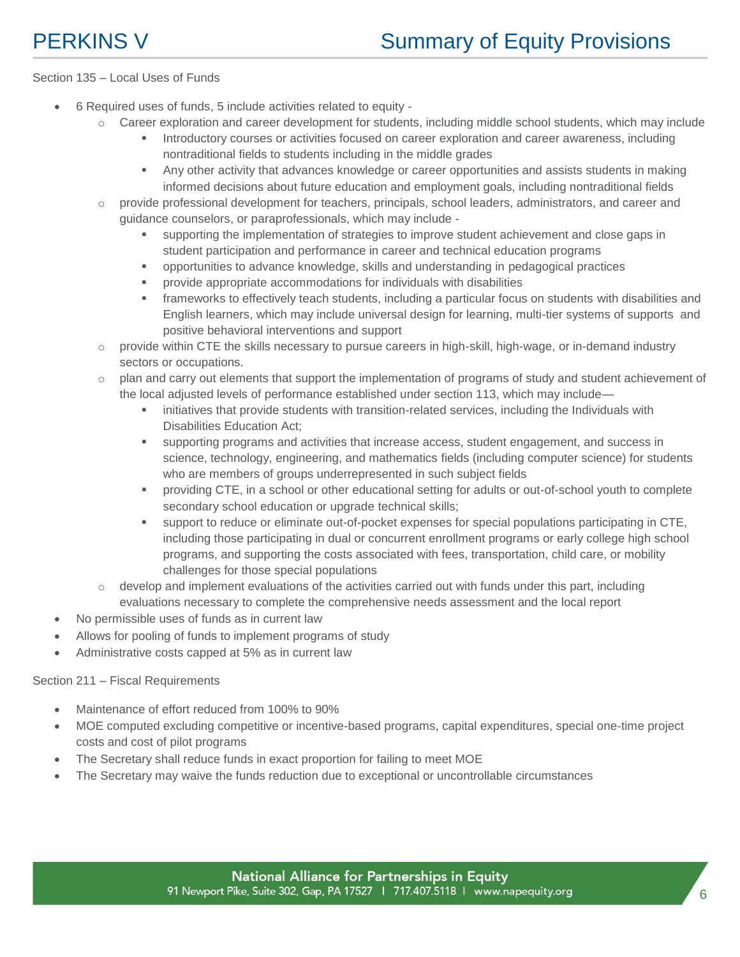### Section 135 – Local Uses of Funds

- 6 Required uses of funds, 5 include activities related to equity
	- $\circ$  Career exploration and career development for students, including middle school students, which may include
		- Introductory courses or activities focused on career exploration and career awareness, including nontraditional fields to students including in the middle grades
		- Any other activity that advances knowledge or career opportunities and assists students in making informed decisions about future education and employment goals, including nontraditional fields
	- o provide professional development for teachers, principals, school leaders, administrators, and career and guidance counselors, or paraprofessionals, which may include
		- supporting the implementation of strategies to improve student achievement and close gaps in student participation and performance in career and technical education programs
		- opportunities to advance knowledge, skills and understanding in pedagogical practices
		- provide appropriate accommodations for individuals with disabilities
		- frameworks to effectively teach students, including a particular focus on students with disabilities and English learners, which may include universal design for learning, multi-tier systems of supports and positive behavioral interventions and support
	- $\circ$  provide within CTE the skills necessary to pursue careers in high-skill, high-wage, or in-demand industry sectors or occupations.
	- o plan and carry out elements that support the implementation of programs of study and student achievement of the local adjusted levels of performance established under section 113, which may include—
		- **EXECT** initiatives that provide students with transition-related services, including the Individuals with Disabilities Education Act;
		- supporting programs and activities that increase access, student engagement, and success in science, technology, engineering, and mathematics fields (including computer science) for students who are members of groups underrepresented in such subject fields
		- providing CTE, in a school or other educational setting for adults or out-of-school youth to complete secondary school education or upgrade technical skills;
		- support to reduce or eliminate out-of-pocket expenses for special populations participating in CTE, including those participating in dual or concurrent enrollment programs or early college high school programs, and supporting the costs associated with fees, transportation, child care, or mobility challenges for those special populations
	- $\circ$  develop and implement evaluations of the activities carried out with funds under this part, including evaluations necessary to complete the comprehensive needs assessment and the local report
- No permissible uses of funds as in current law
- Allows for pooling of funds to implement programs of study
- Administrative costs capped at 5% as in current law

### Section 211 – Fiscal Requirements

- Maintenance of effort reduced from 100% to 90%
- MOE computed excluding competitive or incentive-based programs, capital expenditures, special one-time project costs and cost of pilot programs
- The Secretary shall reduce funds in exact proportion for failing to meet MOE
- The Secretary may waive the funds reduction due to exceptional or uncontrollable circumstances